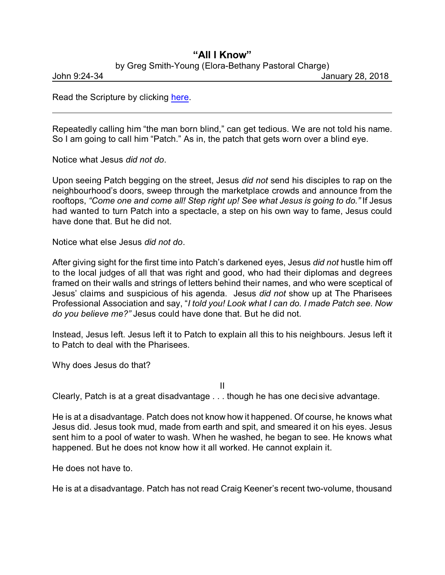## **"All I Know"**

by Greg Smith-Young (Elora-Bethany Pastoral Charge)

John 9:24-34 January 28, 2018

Read the Scripture by clicking [here](https://www.biblegateway.com/passage/?search=John+9%3A24-34&version=CEB).

Repeatedly calling him "the man born blind," can get tedious. We are not told his name. So I am going to call him "Patch." As in, the patch that gets worn over a blind eye.

Notice what Jesus *did not do*.

Upon seeing Patch begging on the street, Jesus *did not* send his disciples to rap on the neighbourhood's doors, sweep through the marketplace crowds and announce from the rooftops, *"Come one and come all! Step right up! See what Jesus is going to do."* If Jesus had wanted to turn Patch into a spectacle, a step on his own way to fame, Jesus could have done that. But he did not.

Notice what else Jesus *did not do*.

After giving sight for the first time into Patch's darkened eyes, Jesus *did not* hustle him off to the local judges of all that was right and good, who had their diplomas and degrees framed on their walls and strings of letters behind their names, and who were sceptical of Jesus' claims and suspicious of his agenda. Jesus *did not* show up at The Pharisees Professional Association and say, "*I told you! Look what I can do. I made Patch see. Now do you believe me?"* Jesus could have done that. But he did not.

Instead, Jesus left. Jesus left it to Patch to explain all this to his neighbours. Jesus left it to Patch to deal with the Pharisees.

Why does Jesus do that?

II

Clearly, Patch is at a great disadvantage . . . though he has one deci sive advantage.

He is at a disadvantage. Patch does not know how it happened. Of course, he knows what Jesus did. Jesus took mud, made from earth and spit, and smeared it on his eyes. Jesus sent him to a pool of water to wash. When he washed, he began to see. He knows what happened. But he does not know how it all worked. He cannot explain it.

He does not have to.

He is at a disadvantage. Patch has not read Craig Keener's recent two-volume, thousand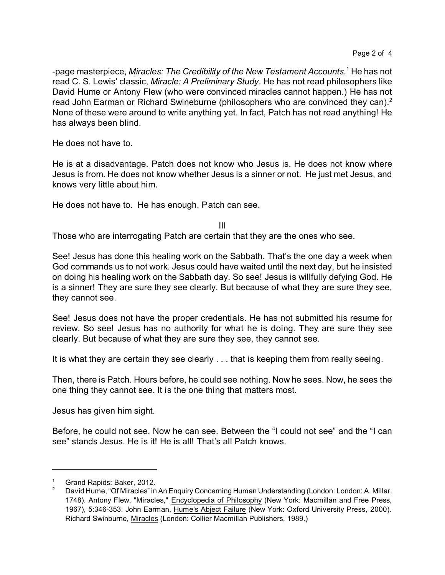-page masterpiece, *Miracles: The Credibility of the New Testament Accounts.*<sup>1</sup> He has not read C. S. Lewis' classic, *Miracle: A Preliminary Study*. He has not read philosophers like David Hume or Antony Flew (who were convinced miracles cannot happen.) He has not read John Earman or Richard Swineburne (philosophers who are convinced they can).<sup>2</sup> None of these were around to write anything yet. In fact, Patch has not read anything! He has always been blind.

He does not have to.

He is at a disadvantage. Patch does not know who Jesus is. He does not know where Jesus is from. He does not know whether Jesus is a sinner or not. He just met Jesus, and knows very little about him.

He does not have to. He has enough. Patch can see.

III

Those who are interrogating Patch are certain that they are the ones who see.

See! Jesus has done this healing work on the Sabbath. That's the one day a week when God commands us to not work. Jesus could have waited until the next day, but he insisted on doing his healing work on the Sabbath day. So see! Jesus is willfully defying God. He is a sinner! They are sure they see clearly. But because of what they are sure they see, they cannot see.

See! Jesus does not have the proper credentials. He has not submitted his resume for review. So see! Jesus has no authority for what he is doing. They are sure they see clearly. But because of what they are sure they see, they cannot see.

It is what they are certain they see clearly . . . that is keeping them from really seeing.

Then, there is Patch. Hours before, he could see nothing. Now he sees. Now, he sees the one thing they cannot see. It is the one thing that matters most.

Jesus has given him sight.

Before, he could not see. Now he can see. Between the "I could not see" and the "I can see" stands Jesus. He is it! He is all! That's all Patch knows.

<sup>1</sup> Grand Rapids: Baker, 2012.

<sup>2</sup> David Hume, "Of Miracles" in An Enquiry Concerning Human Understanding (London: London: A. Millar, 1748). Antony Flew, "Miracles," Encyclopedia of Philosophy (New York: Macmillan and Free Press, 1967), 5:346-353. John Earman, Hume's Abject Failure (New York: Oxford University Press, 2000). Richard Swinburne, Miracles (London: Collier Macmillan Publishers, 1989.)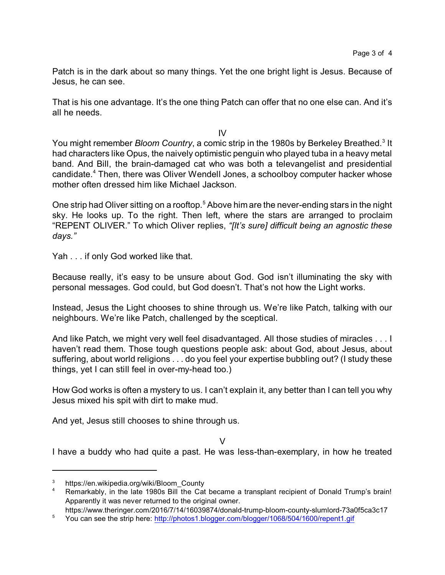Patch is in the dark about so many things. Yet the one bright light is Jesus. Because of Jesus, he can see.

That is his one advantage. It's the one thing Patch can offer that no one else can. And it's all he needs.

IV

You might remember *Bloom Country*, a comic strip in the 1980s by Berkeley Breathed.<sup>3</sup> It had characters like Opus, the naively optimistic penguin who played tuba in a heavy metal band. And Bill, the brain-damaged cat who was both a televangelist and presidential candidate.<sup>4</sup> Then, there was Oliver Wendell Jones, a schoolboy computer hacker whose mother often dressed him like Michael Jackson.

One strip had Oliver sitting on a rooftop.<sup>5</sup> Above him are the never-ending stars in the night sky. He looks up. To the right. Then left, where the stars are arranged to proclaim "REPENT OLIVER." To which Oliver replies, *"[It's sure] difficult being an agnostic these days."*

Yah . . . if only God worked like that.

Because really, it's easy to be unsure about God. God isn't illuminating the sky with personal messages. God could, but God doesn't. That's not how the Light works.

Instead, Jesus the Light chooses to shine through us. We're like Patch, talking with our neighbours. We're like Patch, challenged by the sceptical.

And like Patch, we might very well feel disadvantaged. All those studies of miracles . . . I haven't read them. Those tough questions people ask: about God, about Jesus, about suffering, about world religions . . . do you feel your expertise bubbling out? (I study these things, yet I can still feel in over-my-head too.)

How God works is often a mystery to us. I can't explain it, any better than I can tell you why Jesus mixed his spit with dirt to make mud.

And yet, Jesus still chooses to shine through us.

V

I have a buddy who had quite a past. He was less-than-exemplary, in how he treated

<sup>3</sup> https://en.wikipedia.org/wiki/Bloom\_County

Remarkably, in the late 1980s Bill the Cat became a transplant recipient of Donald Trump's brain! Apparently it was never returned to the original owner.

https://www.theringer.com/2016/7/14/16039874/donald-trump-bloom-county-slumlord-73a0f5ca3c17

<sup>5</sup> You can see the strip here: <http://photos1.blogger.com/blogger/1068/504/1600/repent1.gif>